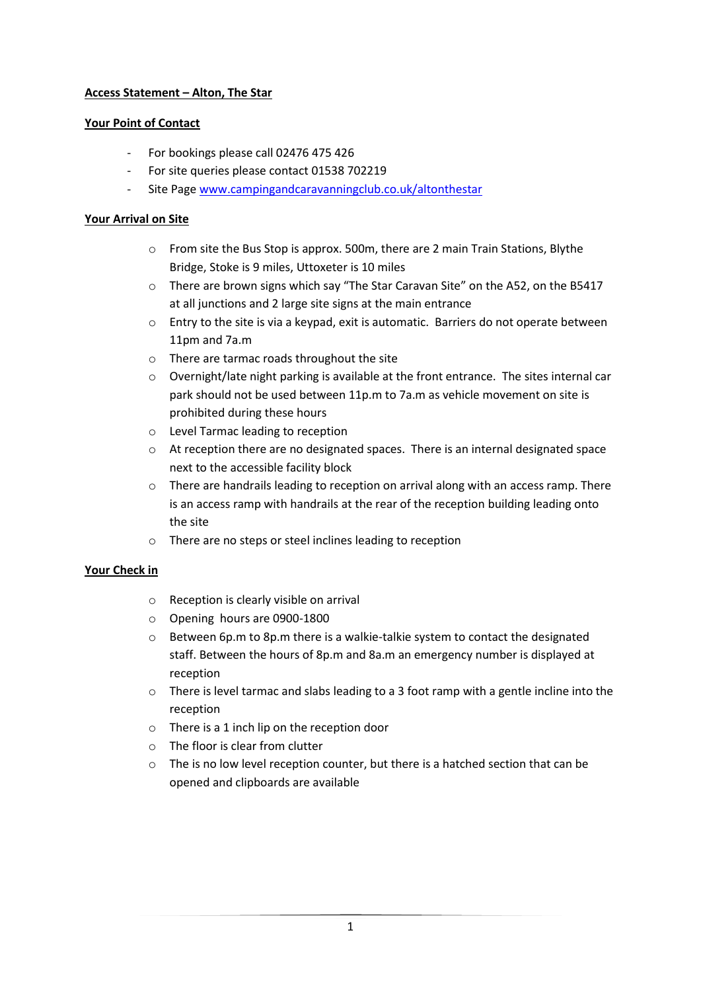# **Access Statement – Alton, The Star**

## **Your Point of Contact**

- For bookings please call 02476 475 426
- For site queries please contact 01538 702219
- Site Page [www.campingandcaravanningclub.co.uk/altonthestar](http://www.campingandcaravanningclub.co.uk/altonthestar)

## **Your Arrival on Site**

- o From site the Bus Stop is approx. 500m, there are 2 main Train Stations, Blythe Bridge, Stoke is 9 miles, Uttoxeter is 10 miles
- o There are brown signs which say "The Star Caravan Site" on the A52, on the B5417 at all junctions and 2 large site signs at the main entrance
- o Entry to the site is via a keypad, exit is automatic. Barriers do not operate between 11pm and 7a.m
- o There are tarmac roads throughout the site
- o Overnight/late night parking is available at the front entrance. The sites internal car park should not be used between 11p.m to 7a.m as vehicle movement on site is prohibited during these hours
- o Level Tarmac leading to reception
- $\circ$  At reception there are no designated spaces. There is an internal designated space next to the accessible facility block
- $\circ$  There are handrails leading to reception on arrival along with an access ramp. There is an access ramp with handrails at the rear of the reception building leading onto the site
- o There are no steps or steel inclines leading to reception

### **Your Check in**

- o Reception is clearly visible on arrival
- o Opening hours are 0900-1800
- $\circ$  Between 6p.m to 8p.m there is a walkie-talkie system to contact the designated staff. Between the hours of 8p.m and 8a.m an emergency number is displayed at reception
- $\circ$  There is level tarmac and slabs leading to a 3 foot ramp with a gentle incline into the reception
- o There is a 1 inch lip on the reception door
- o The floor is clear from clutter
- o The is no low level reception counter, but there is a hatched section that can be opened and clipboards are available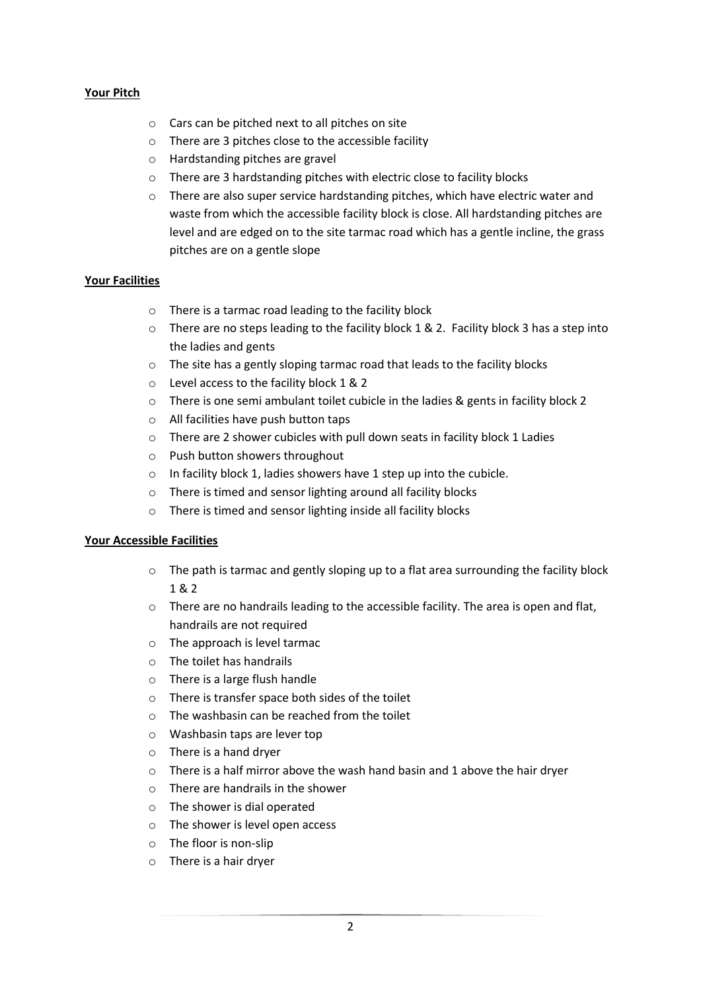## **Your Pitch**

- o Cars can be pitched next to all pitches on site
- o There are 3 pitches close to the accessible facility
- o Hardstanding pitches are gravel
- o There are 3 hardstanding pitches with electric close to facility blocks
- o There are also super service hardstanding pitches, which have electric water and waste from which the accessible facility block is close. All hardstanding pitches are level and are edged on to the site tarmac road which has a gentle incline, the grass pitches are on a gentle slope

### **Your Facilities**

- o There is a tarmac road leading to the facility block
- o There are no steps leading to the facility block 1 & 2. Facility block 3 has a step into the ladies and gents
- o The site has a gently sloping tarmac road that leads to the facility blocks
- o Level access to the facility block 1 & 2
- o There is one semi ambulant toilet cubicle in the ladies & gents in facility block 2
- o All facilities have push button taps
- o There are 2 shower cubicles with pull down seats in facility block 1 Ladies
- o Push button showers throughout
- o In facility block 1, ladies showers have 1 step up into the cubicle.
- o There is timed and sensor lighting around all facility blocks
- o There is timed and sensor lighting inside all facility blocks

#### **Your Accessible Facilities**

- $\circ$  The path is tarmac and gently sloping up to a flat area surrounding the facility block 1 & 2
- o There are no handrails leading to the accessible facility. The area is open and flat, handrails are not required
- o The approach is level tarmac
- o The toilet has handrails
- o There is a large flush handle
- o There is transfer space both sides of the toilet
- o The washbasin can be reached from the toilet
- o Washbasin taps are lever top
- o There is a hand dryer
- $\circ$  There is a half mirror above the wash hand basin and 1 above the hair dryer
- o There are handrails in the shower
- o The shower is dial operated
- o The shower is level open access
- o The floor is non-slip
- o There is a hair dryer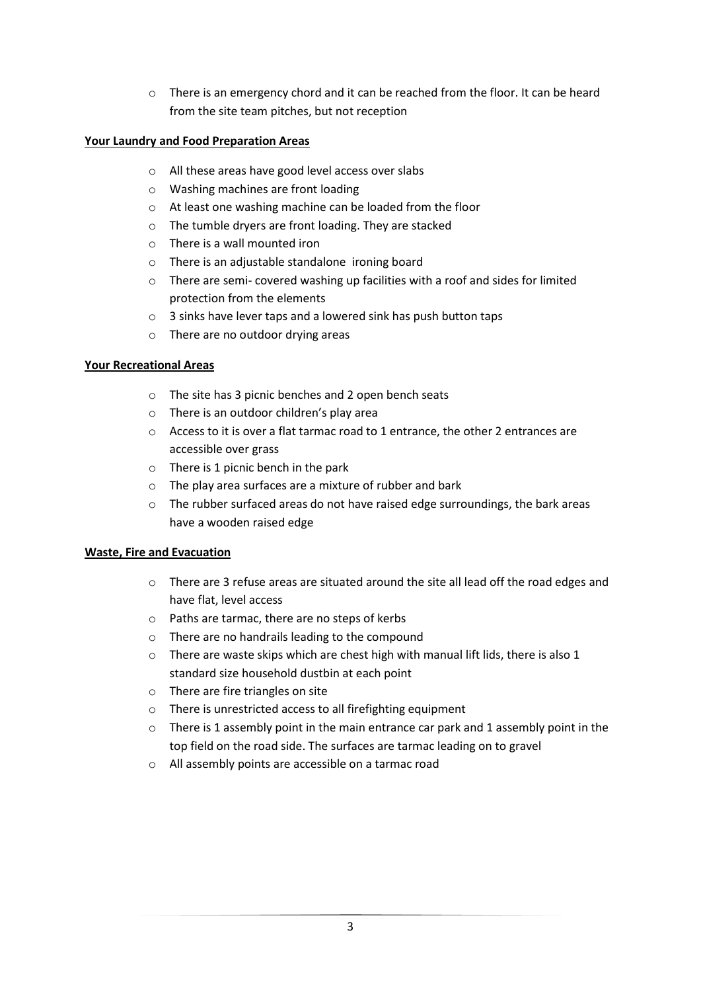o There is an emergency chord and it can be reached from the floor. It can be heard from the site team pitches, but not reception

# **Your Laundry and Food Preparation Areas**

- o All these areas have good level access over slabs
- o Washing machines are front loading
- o At least one washing machine can be loaded from the floor
- o The tumble dryers are front loading. They are stacked
- o There is a wall mounted iron
- o There is an adjustable standalone ironing board
- $\circ$  There are semi- covered washing up facilities with a roof and sides for limited protection from the elements
- o 3 sinks have lever taps and a lowered sink has push button taps
- o There are no outdoor drying areas

# **Your Recreational Areas**

- o The site has 3 picnic benches and 2 open bench seats
- o There is an outdoor children's play area
- o Access to it is over a flat tarmac road to 1 entrance, the other 2 entrances are accessible over grass
- o There is 1 picnic bench in the park
- o The play area surfaces are a mixture of rubber and bark
- o The rubber surfaced areas do not have raised edge surroundings, the bark areas have a wooden raised edge

### **Waste, Fire and Evacuation**

- o There are 3 refuse areas are situated around the site all lead off the road edges and have flat, level access
- o Paths are tarmac, there are no steps of kerbs
- o There are no handrails leading to the compound
- $\circ$  There are waste skips which are chest high with manual lift lids, there is also 1 standard size household dustbin at each point
- o There are fire triangles on site
- o There is unrestricted access to all firefighting equipment
- o There is 1 assembly point in the main entrance car park and 1 assembly point in the top field on the road side. The surfaces are tarmac leading on to gravel
- o All assembly points are accessible on a tarmac road